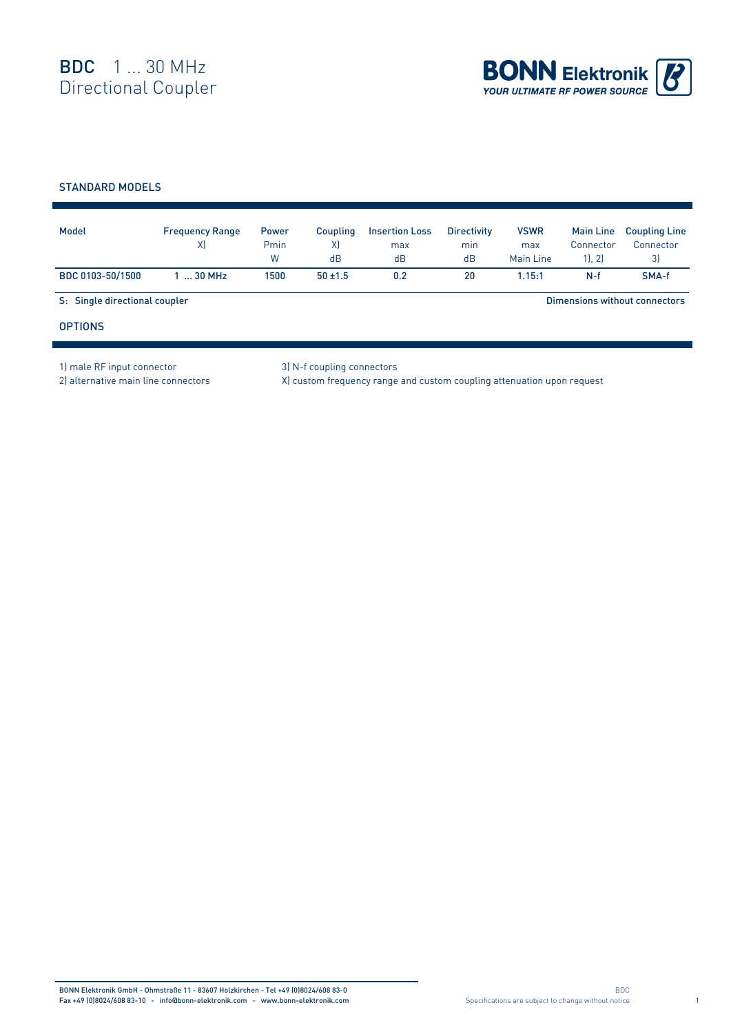

## STANDARD MODELS

| Model                         | <b>Frequency Range</b><br>X) | Power<br>Pmin<br>W | <b>Coupling</b><br>X)<br>dB | <b>Insertion Loss</b><br>max<br>dB | <b>Directivity</b><br>min<br>dB | <b>VSWR</b><br>max<br>Main Line | <b>Main Line</b><br>Connector<br>1, 2) | <b>Coupling Line</b><br>Connector<br>3) |  |
|-------------------------------|------------------------------|--------------------|-----------------------------|------------------------------------|---------------------------------|---------------------------------|----------------------------------------|-----------------------------------------|--|
| BDC 0103-50/1500              | $130$ MHz                    | 1500               | $50 + 1.5$                  | 0.2                                | 20                              | 1.15:1                          | $N-f$                                  | SMA-f                                   |  |
| S: Single directional coupler |                              |                    |                             |                                    |                                 | Dimensions without connectors   |                                        |                                         |  |
| <b>OPTIONS</b>                |                              |                    |                             |                                    |                                 |                                 |                                        |                                         |  |

1) male RF input connector 3) N-f coupling connectors

2) alternative main line connectors X) custom frequency range and custom coupling attenuation upon request